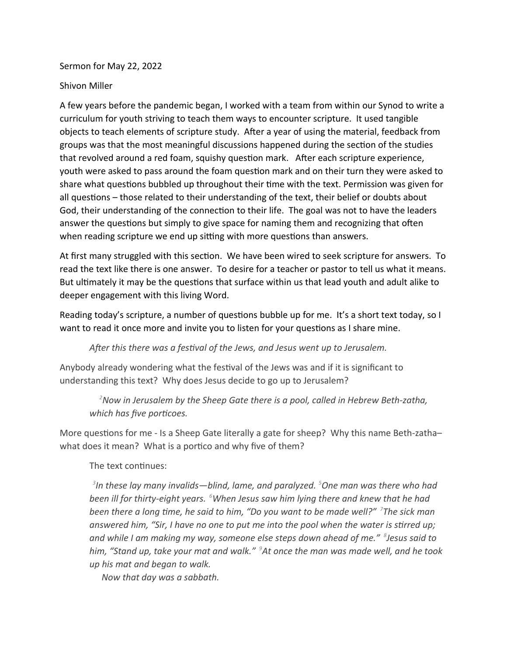Sermon for May 22, 2022

## Shivon Miller

A few years before the pandemic began, I worked with a team from within our Synod to write a curriculum for youth striving to teach them ways to encounter scripture. It used tangible objects to teach elements of scripture study. After a year of using the material, feedback from groups was that the most meaningful discussions happened during the section of the studies that revolved around a red foam, squishy question mark. After each scripture experience, youth were asked to pass around the foam question mark and on their turn they were asked to share what questions bubbled up throughout their time with the text. Permission was given for all questions – those related to their understanding of the text, their belief or doubts about God, their understanding of the connection to their life. The goal was not to have the leaders answer the questions but simply to give space for naming them and recognizing that often when reading scripture we end up sitting with more questions than answers.

At first many struggled with this section. We have been wired to seek scripture for answers. To read the text like there is one answer. To desire for a teacher or pastor to tell us what it means. But ultimately it may be the questions that surface within us that lead youth and adult alike to deeper engagement with this living Word.

Reading today's scripture, a number of questions bubble up for me. It's a short text today, so I want to read it once more and invite you to listen for your questions as I share mine.

*After this there was a festival of the Jews, and Jesus went up to Jerusalem.*

Anybody already wondering what the festival of the Jews was and if it is significant to understanding this text? Why does Jesus decide to go up to Jerusalem?

*<sup>2</sup>Now in Jerusalem by the Sheep Gate there is a pool, called in Hebrew Beth-zatha, which has five porticoes.*

More questions for me - Is a Sheep Gate literally a gate for sheep? Why this name Beth-zatha– what does it mean? What is a portico and why five of them?

The text continues:

*3 In these lay many invalids—blind, lame, and paralyzed. <sup>5</sup>One man was there who had been ill for thirty-eight years. <sup>6</sup>When Jesus saw him lying there and knew that he had been there a long time, he said to him, "Do you want to be made well?" <sup>7</sup> The sick man answered him, "Sir, I have no one to put me into the pool when the water is stirred up; and while I am making my way, someone else steps down ahead of me." <sup>8</sup> Jesus said to him, "Stand up, take your mat and walk." <sup>9</sup>At once the man was made well, and he took up his mat and began to walk.*

 *Now that day was a sabbath.*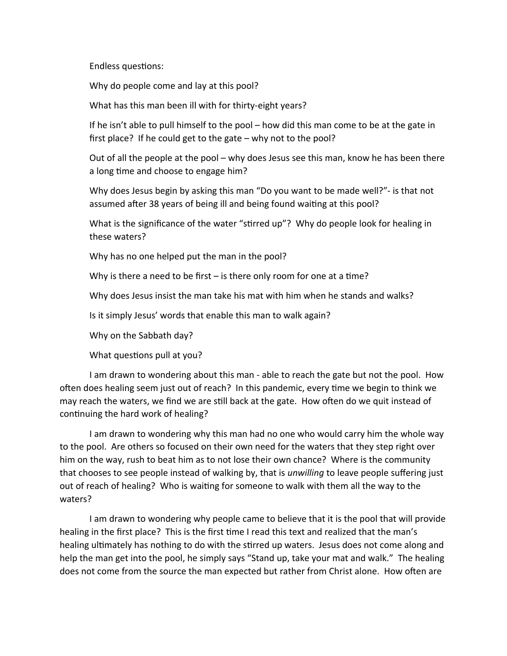Endless questions:

Why do people come and lay at this pool?

What has this man been ill with for thirty-eight years?

If he isn't able to pull himself to the pool – how did this man come to be at the gate in first place? If he could get to the gate – why not to the pool?

Out of all the people at the pool – why does Jesus see this man, know he has been there a long time and choose to engage him?

Why does Jesus begin by asking this man "Do you want to be made well?"- is that not assumed after 38 years of being ill and being found waiting at this pool?

What is the significance of the water "stirred up"? Why do people look for healing in these waters?

Why has no one helped put the man in the pool?

Why is there a need to be first – is there only room for one at a time?

Why does Jesus insist the man take his mat with him when he stands and walks?

Is it simply Jesus' words that enable this man to walk again?

Why on the Sabbath day?

What questions pull at you?

I am drawn to wondering about this man - able to reach the gate but not the pool. How often does healing seem just out of reach? In this pandemic, every time we begin to think we may reach the waters, we find we are still back at the gate. How often do we quit instead of continuing the hard work of healing?

I am drawn to wondering why this man had no one who would carry him the whole way to the pool. Are others so focused on their own need for the waters that they step right over him on the way, rush to beat him as to not lose their own chance? Where is the community that chooses to see people instead of walking by, that is *unwilling* to leave people suffering just out of reach of healing? Who is waiting for someone to walk with them all the way to the waters?

I am drawn to wondering why people came to believe that it is the pool that will provide healing in the first place? This is the first time I read this text and realized that the man's healing ultimately has nothing to do with the stirred up waters. Jesus does not come along and help the man get into the pool, he simply says "Stand up, take your mat and walk." The healing does not come from the source the man expected but rather from Christ alone. How often are